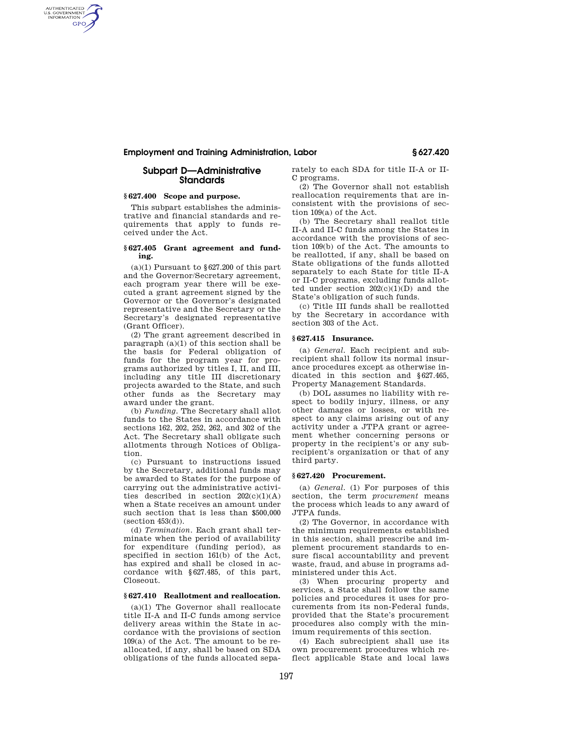# **Employment and Training Administration, Labor § 627.420**

# **Subpart D—Administrative Standards**

# **§ 627.400 Scope and purpose.**

AUTHENTICATED<br>U.S. GOVERNMENT<br>INFORMATION **GPO** 

> This subpart establishes the administrative and financial standards and requirements that apply to funds received under the Act.

### **§ 627.405 Grant agreement and funding.**

 $(a)(1)$  Pursuant to §627.200 of this part and the Governor/Secretary agreement, each program year there will be executed a grant agreement signed by the Governor or the Governor's designated representative and the Secretary or the Secretary's designated representative (Grant Officer).

(2) The grant agreement described in paragraph  $(a)(1)$  of this section shall be the basis for Federal obligation of funds for the program year for programs authorized by titles I, II, and III, including any title III discretionary projects awarded to the State, and such other funds as the Secretary may award under the grant.

(b) *Funding.* The Secretary shall allot funds to the States in accordance with sections 162, 202, 252, 262, and 302 of the Act. The Secretary shall obligate such allotments through Notices of Obligation.

(c) Pursuant to instructions issued by the Secretary, additional funds may be awarded to States for the purpose of carrying out the administrative activities described in section  $202(c)(1)(A)$ when a State receives an amount under such section that is less than \$500,000  $(\text{section } 453(d)).$ 

(d) *Termination.* Each grant shall terminate when the period of availability for expenditure (funding period), as specified in section 161(b) of the Act, has expired and shall be closed in accordance with §627.485, of this part, Closeout.

# **§ 627.410 Reallotment and reallocation.**

(a)(1) The Governor shall reallocate title II-A and II-C funds among service delivery areas within the State in accordance with the provisions of section 109(a) of the Act. The amount to be reallocated, if any, shall be based on SDA obligations of the funds allocated separately to each SDA for title II-A or II-C programs.

(2) The Governor shall not establish reallocation requirements that are inconsistent with the provisions of section 109(a) of the Act.

(b) The Secretary shall reallot title II-A and II-C funds among the States in accordance with the provisions of section 109(b) of the Act. The amounts to be reallotted, if any, shall be based on State obligations of the funds allotted separately to each State for title II-A or II-C programs, excluding funds allotted under section 202(c)(1)(D) and the State's obligation of such funds.

(c) Title III funds shall be reallotted by the Secretary in accordance with section 303 of the Act.

# **§ 627.415 Insurance.**

(a) *General.* Each recipient and subrecipient shall follow its normal insurance procedures except as otherwise indicated in this section and §627.465, Property Management Standards.

(b) DOL assumes no liability with respect to bodily injury, illness, or any other damages or losses, or with respect to any claims arising out of any activity under a JTPA grant or agreement whether concerning persons or property in the recipient's or any subrecipient's organization or that of any third party.

#### **§ 627.420 Procurement.**

(a) *General.* (1) For purposes of this section, the term *procurement* means the process which leads to any award of JTPA funds.

(2) The Governor, in accordance with the minimum requirements established in this section, shall prescribe and implement procurement standards to ensure fiscal accountability and prevent waste, fraud, and abuse in programs administered under this Act.

(3) When procuring property and services, a State shall follow the same policies and procedures it uses for procurements from its non-Federal funds, provided that the State's procurement procedures also comply with the minimum requirements of this section.

(4) Each subrecipient shall use its own procurement procedures which reflect applicable State and local laws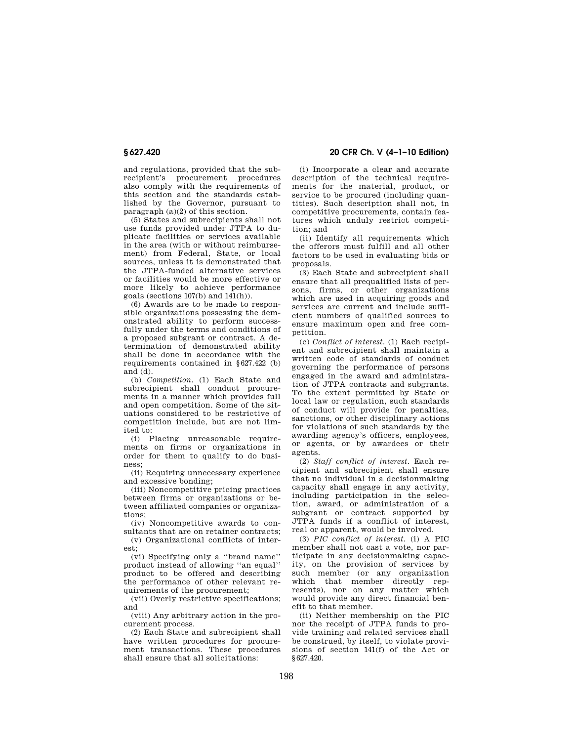and regulations, provided that the subrecipient's procurement procedures also comply with the requirements of this section and the standards established by the Governor, pursuant to paragraph (a)(2) of this section.

(5) States and subrecipients shall not use funds provided under JTPA to duplicate facilities or services available in the area (with or without reimbursement) from Federal, State, or local sources, unless it is demonstrated that the JTPA-funded alternative services or facilities would be more effective or more likely to achieve performance goals (sections 107(b) and 141(h)).

(6) Awards are to be made to responsible organizations possessing the demonstrated ability to perform successfully under the terms and conditions of a proposed subgrant or contract. A determination of demonstrated ability shall be done in accordance with the requirements contained in §627.422 (b) and (d).

(b) *Competition.* (1) Each State and subrecipient shall conduct procurements in a manner which provides full and open competition. Some of the situations considered to be restrictive of competition include, but are not limited to:

(i) Placing unreasonable requirements on firms or organizations in order for them to qualify to do business;

(ii) Requiring unnecessary experience and excessive bonding;

(iii) Noncompetitive pricing practices between firms or organizations or between affiliated companies or organizations;

(iv) Noncompetitive awards to consultants that are on retainer contracts;

(v) Organizational conflicts of interest;

(vi) Specifying only a ''brand name'' product instead of allowing ''an equal'' product to be offered and describing the performance of other relevant requirements of the procurement;

(vii) Overly restrictive specifications; and

(viii) Any arbitrary action in the procurement process.

(2) Each State and subrecipient shall have written procedures for procurement transactions. These procedures shall ensure that all solicitations:

**§ 627.420 20 CFR Ch. V (4–1–10 Edition)** 

(i) Incorporate a clear and accurate description of the technical requirements for the material, product, or service to be procured (including quantities). Such description shall not, in competitive procurements, contain features which unduly restrict competition; and

(ii) Identify all requirements which the offerors must fulfill and all other factors to be used in evaluating bids or proposals.

(3) Each State and subrecipient shall ensure that all prequalified lists of persons, firms, or other organizations which are used in acquiring goods and services are current and include sufficient numbers of qualified sources to ensure maximum open and free competition.

(c) *Conflict of interest.* (1) Each recipient and subrecipient shall maintain a written code of standards of conduct governing the performance of persons engaged in the award and administration of JTPA contracts and subgrants. To the extent permitted by State or local law or regulation, such standards of conduct will provide for penalties, sanctions, or other disciplinary actions for violations of such standards by the awarding agency's officers, employees, or agents, or by awardees or their agents.

(2) *Staff conflict of interest.* Each recipient and subrecipient shall ensure that no individual in a decisionmaking capacity shall engage in any activity, including participation in the selection, award, or administration of a subgrant or contract supported by JTPA funds if a conflict of interest, real or apparent, would be involved.

(3) *PIC conflict of interest.* (i) A PIC member shall not cast a vote, nor participate in any decisionmaking capacity, on the provision of services by such member (or any organization which that member directly represents), nor on any matter which would provide any direct financial benefit to that member.

(ii) Neither membership on the PIC nor the receipt of JTPA funds to provide training and related services shall be construed, by itself, to violate provisions of section 141(f) of the Act or §627.420.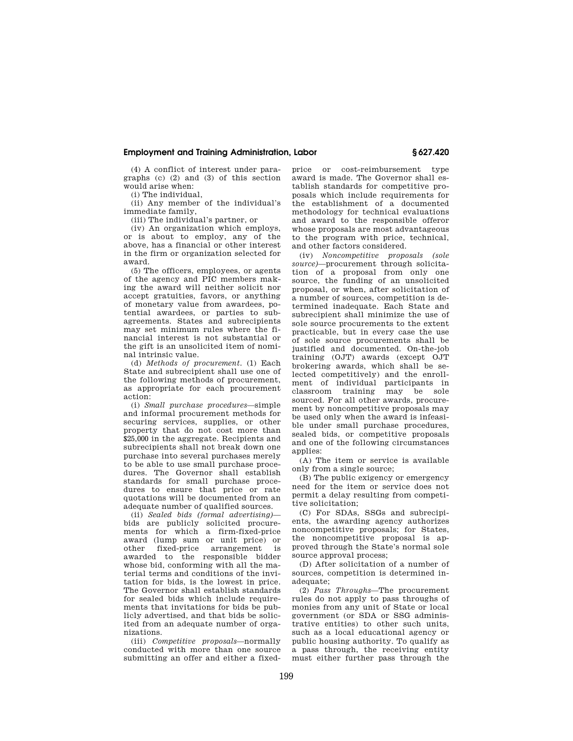# **Employment and Training Administration, Labor § 627.420**

(4) A conflict of interest under paragraphs (c) (2) and (3) of this section would arise when:

(i) The individual,

(ii) Any member of the individual's immediate family,

(iii) The individual's partner, or

(iv) An organization which employs, or is about to employ, any of the above, has a financial or other interest in the firm or organization selected for award.

(5) The officers, employees, or agents of the agency and PIC members making the award will neither solicit nor accept gratuities, favors, or anything of monetary value from awardees, potential awardees, or parties to subagreements. States and subrecipients may set minimum rules where the financial interest is not substantial or the gift is an unsolicited item of nominal intrinsic value.

(d) *Methods of procurement.* (1) Each State and subrecipient shall use one of the following methods of procurement, as appropriate for each procurement action:

(i) *Small purchase procedures*—simple and informal procurement methods for securing services, supplies, or other property that do not cost more than \$25,000 in the aggregate. Recipients and subrecipients shall not break down one purchase into several purchases merely to be able to use small purchase procedures. The Governor shall establish standards for small purchase procedures to ensure that price or rate quotations will be documented from an adequate number of qualified sources.

(ii) *Sealed bids (formal advertising)* bids are publicly solicited procurements for which a firm-fixed-price award (lump sum or unit price) or other fixed-price arrangement is awarded to the responsible bidder whose bid, conforming with all the material terms and conditions of the invitation for bids, is the lowest in price. The Governor shall establish standards for sealed bids which include requirements that invitations for bids be publicly advertised, and that bids be solicited from an adequate number of organizations.

(iii) *Competitive proposals*—normally conducted with more than one source submitting an offer and either a fixed-

price or cost-reimbursement type award is made. The Governor shall establish standards for competitive proposals which include requirements for the establishment of a documented methodology for technical evaluations and award to the responsible offeror whose proposals are most advantageous to the program with price, technical, and other factors considered.

(iv) *Noncompetitive proposals (sole source)*—procurement through solicitation of a proposal from only one source, the funding of an unsolicited proposal, or when, after solicitation of a number of sources, competition is determined inadequate. Each State and subrecipient shall minimize the use of sole source procurements to the extent practicable, but in every case the use of sole source procurements shall be justified and documented. On-the-job training (OJT) awards (except OJT brokering awards, which shall be selected competitively) and the enrollment of individual participants in classroom training may be sole sourced. For all other awards, procurement by noncompetitive proposals may be used only when the award is infeasible under small purchase procedures, sealed bids, or competitive proposals and one of the following circumstances applies:

(A) The item or service is available only from a single source;

(B) The public exigency or emergency need for the item or service does not permit a delay resulting from competitive solicitation;

(C) For SDAs, SSGs and subrecipients, the awarding agency authorizes noncompetitive proposals; for States, the noncompetitive proposal is approved through the State's normal sole source approval process;

(D) After solicitation of a number of sources, competition is determined inadequate;

(2) *Pass Throughs*—The procurement rules do not apply to pass throughs of monies from any unit of State or local government (or SDA or SSG administrative entities) to other such units, such as a local educational agency or public housing authority. To qualify as a pass through, the receiving entity must either further pass through the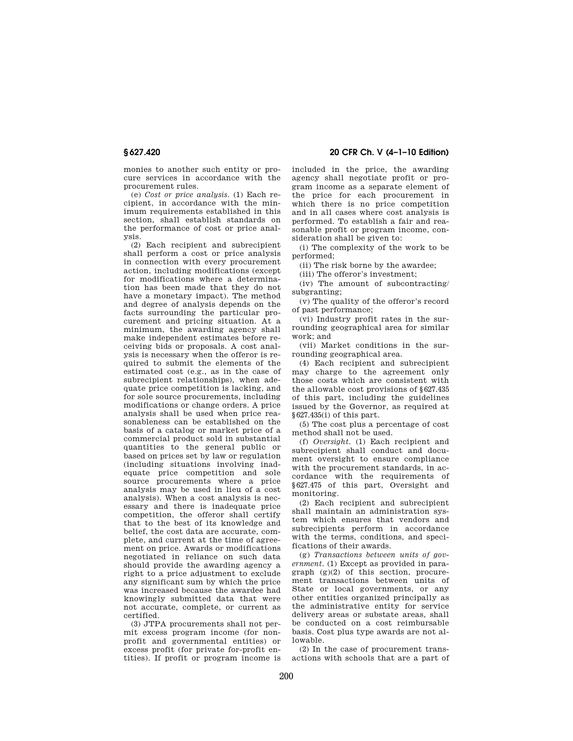monies to another such entity or procure services in accordance with the procurement rules.

(e) *Cost or price analysis.* (1) Each recipient, in accordance with the minimum requirements established in this section, shall establish standards on the performance of cost or price analysis.

(2) Each recipient and subrecipient shall perform a cost or price analysis in connection with every procurement action, including modifications (except for modifications where a determination has been made that they do not have a monetary impact). The method and degree of analysis depends on the facts surrounding the particular procurement and pricing situation. At a minimum, the awarding agency shall make independent estimates before receiving bids or proposals. A cost analysis is necessary when the offeror is required to submit the elements of the estimated cost (e.g., as in the case of subrecipient relationships), when adequate price competition is lacking, and for sole source procurements, including modifications or change orders. A price analysis shall be used when price reasonableness can be established on the basis of a catalog or market price of a commercial product sold in substantial quantities to the general public or based on prices set by law or regulation (including situations involving inadequate price competition and sole source procurements where a price analysis may be used in lieu of a cost analysis). When a cost analysis is necessary and there is inadequate price competition, the offeror shall certify that to the best of its knowledge and belief, the cost data are accurate, complete, and current at the time of agreement on price. Awards or modifications negotiated in reliance on such data should provide the awarding agency a right to a price adjustment to exclude any significant sum by which the price was increased because the awardee had knowingly submitted data that were not accurate, complete, or current as certified.

(3) JTPA procurements shall not permit excess program income (for nonprofit and governmental entities) or excess profit (for private for-profit entities). If profit or program income is

**§ 627.420 20 CFR Ch. V (4–1–10 Edition)** 

included in the price, the awarding agency shall negotiate profit or program income as a separate element of the price for each procurement in which there is no price competition and in all cases where cost analysis is performed. To establish a fair and reasonable profit or program income, consideration shall be given to:

(i) The complexity of the work to be performed;

(ii) The risk borne by the awardee;

(iii) The offeror's investment;

(iv) The amount of subcontracting/ subgranting;

(v) The quality of the offeror's record of past performance;

(vi) Industry profit rates in the surrounding geographical area for similar work; and

(vii) Market conditions in the surrounding geographical area.

(4) Each recipient and subrecipient may charge to the agreement only those costs which are consistent with the allowable cost provisions of §627.435 of this part, including the guidelines issued by the Governor, as required at §627.435(i) of this part.

(5) The cost plus a percentage of cost method shall not be used.

(f) *Oversight.* (1) Each recipient and subrecipient shall conduct and document oversight to ensure compliance with the procurement standards, in accordance with the requirements of §627.475 of this part, Oversight and monitoring.

(2) Each recipient and subrecipient shall maintain an administration system which ensures that vendors and subrecipients perform in accordance with the terms, conditions, and specifications of their awards.

(g) *Transactions between units of government.* (1) Except as provided in paragraph (g)(2) of this section, procurement transactions between units of State or local governments, or any other entities organized principally as the administrative entity for service delivery areas or substate areas, shall be conducted on a cost reimbursable basis. Cost plus type awards are not allowable.

(2) In the case of procurement transactions with schools that are a part of